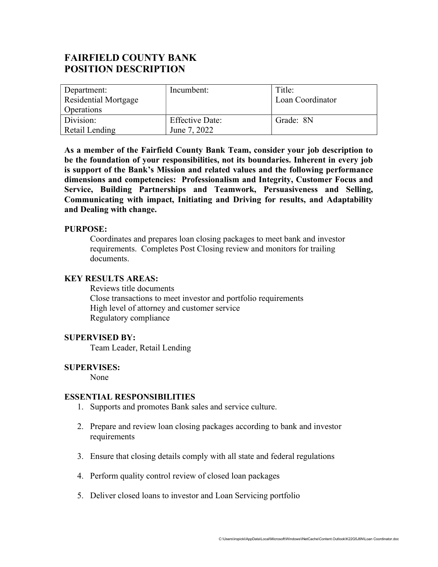# FAIRFIELD COUNTY BANK POSITION DESCRIPTION

| Department:          | Incumbent:             | Title:           |
|----------------------|------------------------|------------------|
| Residential Mortgage |                        | Loan Coordinator |
| <b>Operations</b>    |                        |                  |
| Division:            | <b>Effective Date:</b> | Grade: 8N        |
| Retail Lending       | June 7, 2022           |                  |

As a member of the Fairfield County Bank Team, consider your job description to be the foundation of your responsibilities, not its boundaries. Inherent in every job is support of the Bank's Mission and related values and the following performance dimensions and competencies: Professionalism and Integrity, Customer Focus and Service, Building Partnerships and Teamwork, Persuasiveness and Selling, Communicating with impact, Initiating and Driving for results, and Adaptability and Dealing with change.

## PURPOSE:

Coordinates and prepares loan closing packages to meet bank and investor requirements. Completes Post Closing review and monitors for trailing documents.

### KEY RESULTS AREAS:

Reviews title documents Close transactions to meet investor and portfolio requirements High level of attorney and customer service Regulatory compliance

### SUPERVISED BY:

Team Leader, Retail Lending

### SUPERVISES:

None

### ESSENTIAL RESPONSIBILITIES

- 1. Supports and promotes Bank sales and service culture.
- 2. Prepare and review loan closing packages according to bank and investor requirements
- 3. Ensure that closing details comply with all state and federal regulations
- 4. Perform quality control review of closed loan packages
- 5. Deliver closed loans to investor and Loan Servicing portfolio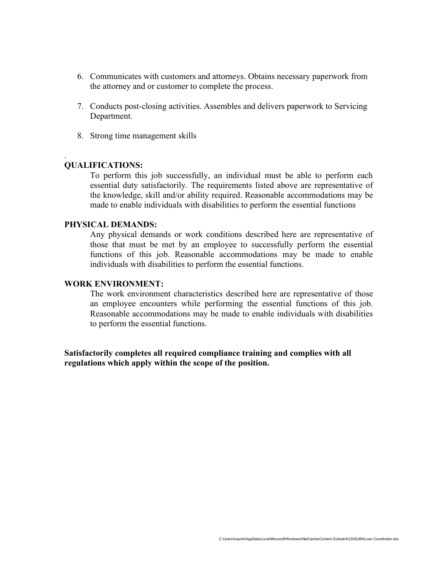- 6. Communicates with customers and attorneys. Obtains necessary paperwork from the attorney and or customer to complete the process.
- 7. Conducts post-closing activities. Assembles and delivers paperwork to Servicing Department.
- 8. Strong time management skills

## QUALIFICATIONS:

.

To perform this job successfully, an individual must be able to perform each essential duty satisfactorily. The requirements listed above are representative of the knowledge, skill and/or ability required. Reasonable accommodations may be made to enable individuals with disabilities to perform the essential functions

## PHYSICAL DEMANDS:

Any physical demands or work conditions described here are representative of those that must be met by an employee to successfully perform the essential functions of this job. Reasonable accommodations may be made to enable individuals with disabilities to perform the essential functions.

#### WORK ENVIRONMENT:

The work environment characteristics described here are representative of those an employee encounters while performing the essential functions of this job. Reasonable accommodations may be made to enable individuals with disabilities to perform the essential functions.

Satisfactorily completes all required compliance training and complies with all regulations which apply within the scope of the position.